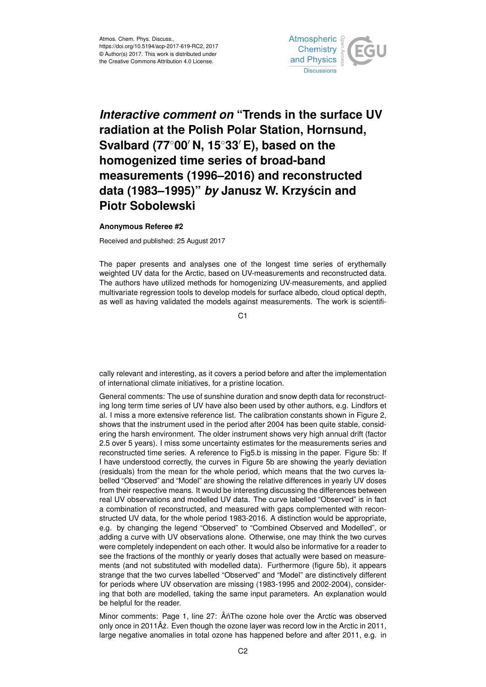

## *Interactive comment on* **"Trends in the surface UV radiation at the Polish Polar Station, Hornsund, Svalbard (77<sup>◦</sup>00<sup>** $′$ **</sup> N, 15<sup>◦</sup>33<sup>** $′$ **</sup> E), based on the homogenized time series of broad-band measurements (1996–2016) and reconstructed data (1983–1995)"** *by* **Janusz W. Krzyscin and ´ Piotr Sobolewski**

## **Anonymous Referee #2**

Received and published: 25 August 2017

The paper presents and analyses one of the longest time series of erythemally weighted UV data for the Arctic, based on UV-measurements and reconstructed data. The authors have utilized methods for homogenizing UV-measurements, and applied multivariate regression tools to develop models for surface albedo, cloud optical depth, as well as having validated the models against measurements. The work is scientifi-

C<sub>1</sub>

cally relevant and interesting, as it covers a period before and after the implementation of international climate initiatives, for a pristine location.

General comments: The use of sunshine duration and snow depth data for reconstructing long term time series of UV have also been used by other authors, e.g. Lindfors et al. I miss a more extensive reference list. The calibration constants shown in Figure 2, shows that the instrument used in the period after 2004 has been quite stable, considering the harsh environment. The older instrument shows very high annual drift (factor 2.5 over 5 years). I miss some uncertainty estimates for the measurements series and reconstructed time series. A reference to Fig5.b is missing in the paper. Figure 5b: If I have understood correctly, the curves in Figure 5b are showing the yearly deviation (residuals) from the mean for the whole period, which means that the two curves labelled "Observed" and "Model" are showing the relative differences in yearly UV doses from their respective means. It would be interesting discussing the differences between real UV observations and modelled UV data. The curve labelled "Observed" is in fact a combination of reconstructed, and measured with gaps complemented with reconstructed UV data, for the whole period 1983-2016. A distinction would be appropriate, e.g. by changing the legend "Observed" to "Combined Observed and Modelled", or adding a curve with UV observations alone. Otherwise, one may think the two curves were completely independent on each other. It would also be informative for a reader to see the fractions of the monthly or yearly doses that actually were based on measurements (and not substituted with modelled data). Furthermore (figure 5b), it appears strange that the two curves labelled "Observed" and "Model" are distinctively different for periods where UV observation are missing (1983-1995 and 2002-2004), considering that both are modelled, taking the same input parameters. An explanation would be helpful for the reader.

Minor comments: Page 1, line 27: ÂnThe ozone hole over the Arctic was observed only once in 2011 $\hat{A}$ z. Even though the ozone layer was record low in the Arctic in 2011, large negative anomalies in total ozone has happened before and after 2011, e.g. in